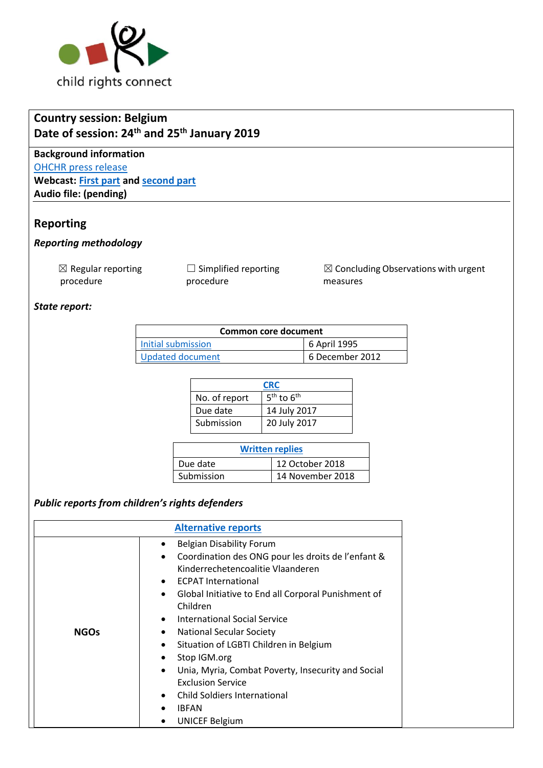

# **Country session: Belgium Date of session: 24 th and 25 th January 2019**

**Background information** [OHCHR press release](https://www.ohchr.org/FR/NewsEvents/Pages/DisplayNews.aspx?NewsID=24117&LangID=F) **Webcast: [First part](http://webtv.un.org/search/consideration-of-belgium-2358th-meeting-80th-session-committee-on-the-rights-of-the-child/5993673278001/?term=&lan=english&cat=Treaty%20Bodies&sort=date&page=1) and [second part](http://webtv.un.org/search/consideration-of-belgium-contd-2359th-meeting-80th-session-committee-on-the-rights-of-the-child/5993868722001/?term=&lan=english&cat=Treaty%20Bodies&sort=date&page=1) Audio file: (pending)**

## **Reporting**

#### *Reporting methodology*

 $\boxtimes$  Regular reporting procedure

□ Simplified reporting procedure

 $\boxtimes$  Concluding Observations with urgent measures

#### *State report:*

| Common core document |                 |  |
|----------------------|-----------------|--|
| Initial submission   | 6 April 1995    |  |
| Updated document     | 6 December 2012 |  |

| <b>CRC</b>    |                |  |
|---------------|----------------|--|
| No. of report | $5th$ to $6th$ |  |
| Due date      | 14 July 2017   |  |
| Submission    | 20 July 2017   |  |

| <b>Written replies</b> |                  |  |  |
|------------------------|------------------|--|--|
| Due date               | 12 October 2018  |  |  |
| Submission             | 14 November 2018 |  |  |

### *Public reports from children's rights defenders*

| <b>Alternative reports</b> |  |  |
|----------------------------|--|--|
| <b>NGOs</b>                |  |  |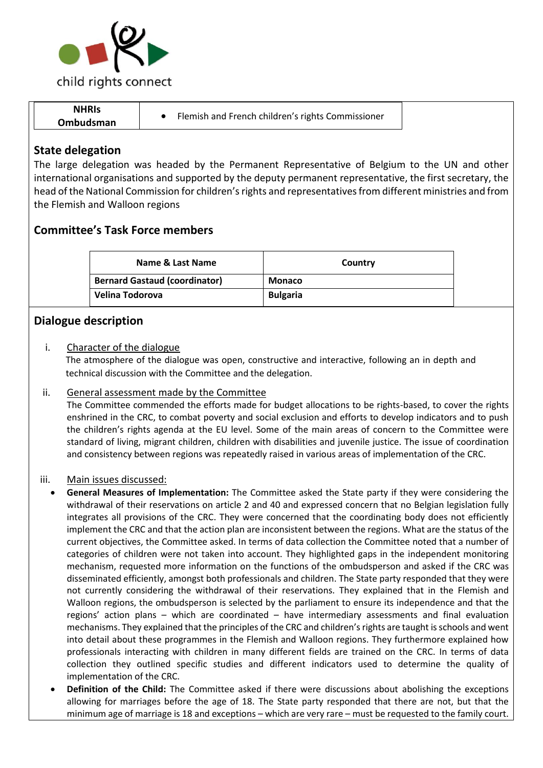

# **NHRIs Ombudsman** • Flemish and French children's rights Commissioner

## **State delegation**

The large delegation was headed by the Permanent Representative of Belgium to the UN and other international organisations and supported by the deputy permanent representative, the first secretary, the head of the National Commission for children's rights and representatives from different ministries and from the Flemish and Walloon regions

# **Committee's Task Force members**

| Name & Last Name                     | Country         |  |
|--------------------------------------|-----------------|--|
| <b>Bernard Gastaud (coordinator)</b> | <b>Monaco</b>   |  |
| Velina Todorova                      | <b>Bulgaria</b> |  |

## **Dialogue description**

#### i. Character of the dialogue

The atmosphere of the dialogue was open, constructive and interactive, following an in depth and technical discussion with the Committee and the delegation.

### ii. General assessment made by the Committee

The Committee commended the efforts made for budget allocations to be rights-based, to cover the rights enshrined in the CRC, to combat poverty and social exclusion and efforts to develop indicators and to push the children's rights agenda at the EU level. Some of the main areas of concern to the Committee were standard of living, migrant children, children with disabilities and juvenile justice. The issue of coordination and consistency between regions was repeatedly raised in various areas of implementation of the CRC.

#### iii. Main issues discussed:

- **General Measures of Implementation:** The Committee asked the State party if they were considering the withdrawal of their reservations on article 2 and 40 and expressed concern that no Belgian legislation fully integrates all provisions of the CRC. They were concerned that the coordinating body does not efficiently implement the CRC and that the action plan are inconsistent between the regions. What are the status of the current objectives, the Committee asked. In terms of data collection the Committee noted that a number of categories of children were not taken into account. They highlighted gaps in the independent monitoring mechanism, requested more information on the functions of the ombudsperson and asked if the CRC was disseminated efficiently, amongst both professionals and children. The State party responded that they were not currently considering the withdrawal of their reservations. They explained that in the Flemish and Walloon regions, the ombudsperson is selected by the parliament to ensure its independence and that the regions' action plans – which are coordinated – have intermediary assessments and final evaluation mechanisms. They explained that the principles of the CRC and children's rights are taught is schools and went into detail about these programmes in the Flemish and Walloon regions. They furthermore explained how professionals interacting with children in many different fields are trained on the CRC. In terms of data collection they outlined specific studies and different indicators used to determine the quality of implementation of the CRC.
	- **Definition of the Child:** The Committee asked if there were discussions about abolishing the exceptions allowing for marriages before the age of 18. The State party responded that there are not, but that the minimum age of marriage is 18 and exceptions – which are very rare – must be requested to the family court.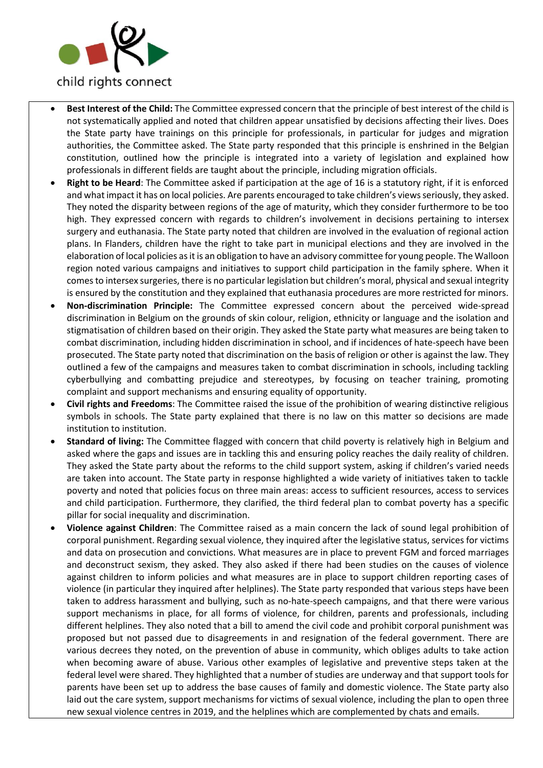

- **Best Interest of the Child:** The Committee expressed concern that the principle of best interest of the child is not systematically applied and noted that children appear unsatisfied by decisions affecting their lives. Does the State party have trainings on this principle for professionals, in particular for judges and migration authorities, the Committee asked. The State party responded that this principle is enshrined in the Belgian constitution, outlined how the principle is integrated into a variety of legislation and explained how professionals in different fields are taught about the principle, including migration officials.
- **Right to be Heard**: The Committee asked if participation at the age of 16 is a statutory right, if it is enforced and what impact it has on local policies. Are parents encouraged to take children's views seriously, they asked. They noted the disparity between regions of the age of maturity, which they consider furthermore to be too high. They expressed concern with regards to children's involvement in decisions pertaining to intersex surgery and euthanasia. The State party noted that children are involved in the evaluation of regional action plans. In Flanders, children have the right to take part in municipal elections and they are involved in the elaboration of local policies as it is an obligation to have an advisory committee for young people. The Walloon region noted various campaigns and initiatives to support child participation in the family sphere. When it comes to intersex surgeries, there is no particular legislation but children's moral, physical and sexual integrity is ensured by the constitution and they explained that euthanasia procedures are more restricted for minors.
- **Non-discrimination Principle:** The Committee expressed concern about the perceived wide-spread discrimination in Belgium on the grounds of skin colour, religion, ethnicity or language and the isolation and stigmatisation of children based on their origin. They asked the State party what measures are being taken to combat discrimination, including hidden discrimination in school, and if incidences of hate-speech have been prosecuted. The State party noted that discrimination on the basis of religion or other is against the law. They outlined a few of the campaigns and measures taken to combat discrimination in schools, including tackling cyberbullying and combatting prejudice and stereotypes, by focusing on teacher training, promoting complaint and support mechanisms and ensuring equality of opportunity.
- **Civil rights and Freedoms**: The Committee raised the issue of the prohibition of wearing distinctive religious symbols in schools. The State party explained that there is no law on this matter so decisions are made institution to institution.
- **Standard of living:** The Committee flagged with concern that child poverty is relatively high in Belgium and asked where the gaps and issues are in tackling this and ensuring policy reaches the daily reality of children. They asked the State party about the reforms to the child support system, asking if children's varied needs are taken into account. The State party in response highlighted a wide variety of initiatives taken to tackle poverty and noted that policies focus on three main areas: access to sufficient resources, access to services and child participation. Furthermore, they clarified, the third federal plan to combat poverty has a specific pillar for social inequality and discrimination.
- **Violence against Children**: The Committee raised as a main concern the lack of sound legal prohibition of corporal punishment. Regarding sexual violence, they inquired after the legislative status, services for victims and data on prosecution and convictions. What measures are in place to prevent FGM and forced marriages and deconstruct sexism, they asked. They also asked if there had been studies on the causes of violence against children to inform policies and what measures are in place to support children reporting cases of violence (in particular they inquired after helplines). The State party responded that various steps have been taken to address harassment and bullying, such as no-hate-speech campaigns, and that there were various support mechanisms in place, for all forms of violence, for children, parents and professionals, including different helplines. They also noted that a bill to amend the civil code and prohibit corporal punishment was proposed but not passed due to disagreements in and resignation of the federal government. There are various decrees they noted, on the prevention of abuse in community, which obliges adults to take action when becoming aware of abuse. Various other examples of legislative and preventive steps taken at the federal level were shared. They highlighted that a number of studies are underway and that support tools for parents have been set up to address the base causes of family and domestic violence. The State party also laid out the care system, support mechanisms for victims of sexual violence, including the plan to open three new sexual violence centres in 2019, and the helplines which are complemented by chats and emails.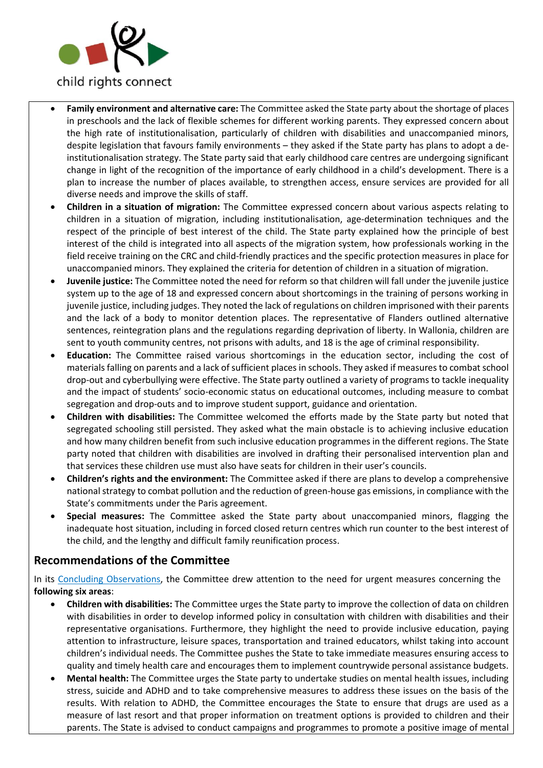

- **Family environment and alternative care:** The Committee asked the State party about the shortage of places in preschools and the lack of flexible schemes for different working parents. They expressed concern about the high rate of institutionalisation, particularly of children with disabilities and unaccompanied minors, despite legislation that favours family environments – they asked if the State party has plans to adopt a deinstitutionalisation strategy. The State party said that early childhood care centres are undergoing significant change in light of the recognition of the importance of early childhood in a child's development. There is a plan to increase the number of places available, to strengthen access, ensure services are provided for all diverse needs and improve the skills of staff.
- **Children in a situation of migration:** The Committee expressed concern about various aspects relating to children in a situation of migration, including institutionalisation, age-determination techniques and the respect of the principle of best interest of the child. The State party explained how the principle of best interest of the child is integrated into all aspects of the migration system, how professionals working in the field receive training on the CRC and child-friendly practices and the specific protection measures in place for unaccompanied minors. They explained the criteria for detention of children in a situation of migration.
- **Juvenile justice:** The Committee noted the need for reform so that children will fall under the juvenile justice system up to the age of 18 and expressed concern about shortcomings in the training of persons working in juvenile justice, including judges. They noted the lack of regulations on children imprisoned with their parents and the lack of a body to monitor detention places. The representative of Flanders outlined alternative sentences, reintegration plans and the regulations regarding deprivation of liberty. In Wallonia, children are sent to youth community centres, not prisons with adults, and 18 is the age of criminal responsibility.
- **Education:** The Committee raised various shortcomings in the education sector, including the cost of materials falling on parents and a lack of sufficient places in schools. They asked if measures to combat school drop-out and cyberbullying were effective. The State party outlined a variety of programs to tackle inequality and the impact of students' socio-economic status on educational outcomes, including measure to combat segregation and drop-outs and to improve student support, guidance and orientation.
- **Children with disabilities:** The Committee welcomed the efforts made by the State party but noted that segregated schooling still persisted. They asked what the main obstacle is to achieving inclusive education and how many children benefit from such inclusive education programmes in the different regions. The State party noted that children with disabilities are involved in drafting their personalised intervention plan and that services these children use must also have seats for children in their user's councils.
- **Children's rights and the environment:** The Committee asked if there are plans to develop a comprehensive national strategy to combat pollution and the reduction of green-house gas emissions, in compliance with the State's commitments under the Paris agreement.
- **Special measures:** The Committee asked the State party about unaccompanied minors, flagging the inadequate host situation, including in forced closed return centres which run counter to the best interest of the child, and the lengthy and difficult family reunification process.

## **Recommendations of the Committee**

In its [Concluding Observations,](https://tbinternet.ohchr.org/_layouts/treatybodyexternal/Download.aspx?symbolno=CRC%2fC%2fBEL%2fCO%2f5-6&Lang=en) the Committee drew attention to the need for urgent measures concerning the **following six areas**:

- **Children with disabilities:** The Committee urges the State party to improve the collection of data on children with disabilities in order to develop informed policy in consultation with children with disabilities and their representative organisations. Furthermore, they highlight the need to provide inclusive education, paying attention to infrastructure, leisure spaces, transportation and trained educators, whilst taking into account children's individual needs. The Committee pushes the State to take immediate measures ensuring access to quality and timely health care and encourages them to implement countrywide personal assistance budgets.
- **Mental health:** The Committee urges the State party to undertake studies on mental health issues, including stress, suicide and ADHD and to take comprehensive measures to address these issues on the basis of the results. With relation to ADHD, the Committee encourages the State to ensure that drugs are used as a measure of last resort and that proper information on treatment options is provided to children and their parents. The State is advised to conduct campaigns and programmes to promote a positive image of mental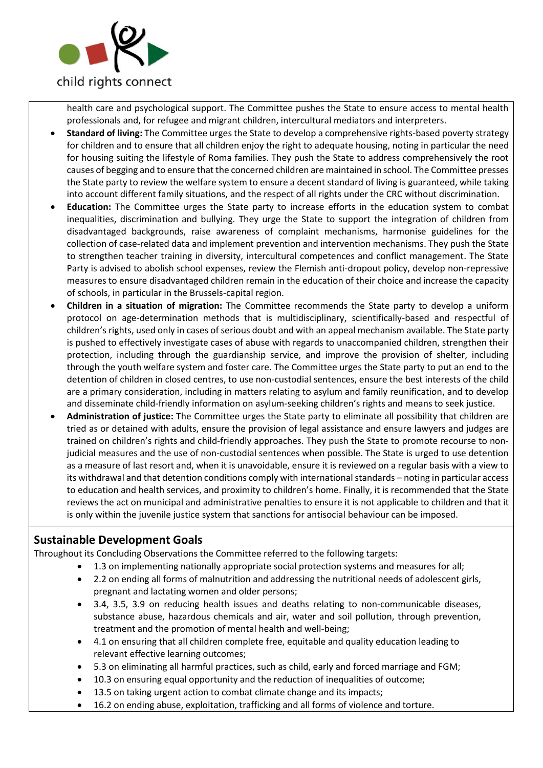

health care and psychological support. The Committee pushes the State to ensure access to mental health professionals and, for refugee and migrant children, intercultural mediators and interpreters.

- **Standard of living:** The Committee urges the State to develop a comprehensive rights-based poverty strategy for children and to ensure that all children enjoy the right to adequate housing, noting in particular the need for housing suiting the lifestyle of Roma families. They push the State to address comprehensively the root causes of begging and to ensure that the concerned children are maintained in school. The Committee presses the State party to review the welfare system to ensure a decent standard of living is guaranteed, while taking into account different family situations, and the respect of all rights under the CRC without discrimination.
- **Education:** The Committee urges the State party to increase efforts in the education system to combat inequalities, discrimination and bullying. They urge the State to support the integration of children from disadvantaged backgrounds, raise awareness of complaint mechanisms, harmonise guidelines for the collection of case-related data and implement prevention and intervention mechanisms. They push the State to strengthen teacher training in diversity, intercultural competences and conflict management. The State Party is advised to abolish school expenses, review the Flemish anti-dropout policy, develop non-repressive measures to ensure disadvantaged children remain in the education of their choice and increase the capacity of schools, in particular in the Brussels-capital region.
- **Children in a situation of migration:** The Committee recommends the State party to develop a uniform protocol on age-determination methods that is multidisciplinary, scientifically-based and respectful of children's rights, used only in cases of serious doubt and with an appeal mechanism available. The State party is pushed to effectively investigate cases of abuse with regards to unaccompanied children, strengthen their protection, including through the guardianship service, and improve the provision of shelter, including through the youth welfare system and foster care. The Committee urges the State party to put an end to the detention of children in closed centres, to use non-custodial sentences, ensure the best interests of the child are a primary consideration, including in matters relating to asylum and family reunification, and to develop and disseminate child-friendly information on asylum-seeking children's rights and means to seek justice.
- **Administration of justice:** The Committee urges the State party to eliminate all possibility that children are tried as or detained with adults, ensure the provision of legal assistance and ensure lawyers and judges are trained on children's rights and child-friendly approaches. They push the State to promote recourse to nonjudicial measures and the use of non-custodial sentences when possible. The State is urged to use detention as a measure of last resort and, when it is unavoidable, ensure it is reviewed on a regular basis with a view to its withdrawal and that detention conditions comply with international standards – noting in particular access to education and health services, and proximity to children's home. Finally, it is recommended that the State reviews the act on municipal and administrative penalties to ensure it is not applicable to children and that it is only within the juvenile justice system that sanctions for antisocial behaviour can be imposed.

# **Sustainable Development Goals**

Throughout its Concluding Observations the Committee referred to the following targets:

- 1.3 on implementing nationally appropriate social protection systems and measures for all;
- 2.2 on ending all forms of malnutrition and addressing the nutritional needs of adolescent girls, pregnant and lactating women and older persons;
- 3.4, 3.5, 3.9 on reducing health issues and deaths relating to non-communicable diseases, substance abuse, hazardous chemicals and air, water and soil pollution, through prevention, treatment and the promotion of mental health and well-being;
- 4.1 on ensuring that all children complete free, equitable and quality education leading to relevant effective learning outcomes;
- 5.3 on eliminating all harmful practices, such as child, early and forced marriage and FGM;
- 10.3 on ensuring equal opportunity and the reduction of inequalities of outcome;
- 13.5 on taking urgent action to combat climate change and its impacts;
- 16.2 on ending abuse, exploitation, trafficking and all forms of violence and torture.